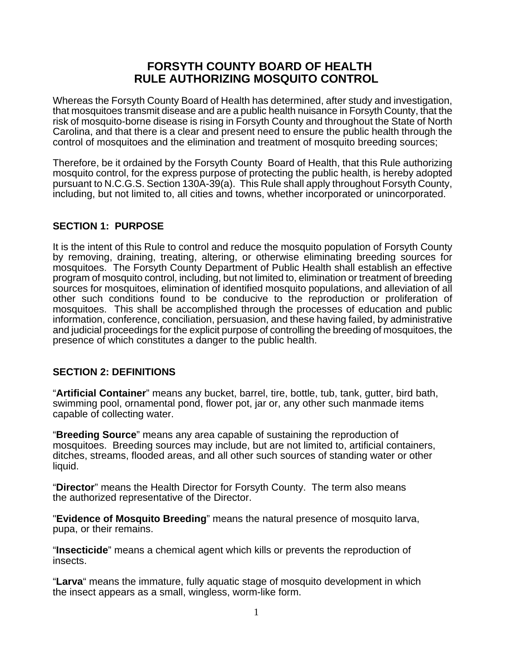# **FORSYTH COUNTY BOARD OF HEALTH RULE AUTHORIZING MOSQUITO CONTROL**

Whereas the Forsyth County Board of Health has determined, after study and investigation, that mosquitoes transmit disease and are a public health nuisance in Forsyth County, that the risk of mosquito-borne disease is rising in Forsyth County and throughout the State of North Carolina, and that there is a clear and present need to ensure the public health through the control of mosquitoes and the elimination and treatment of mosquito breeding sources;

Therefore, be it ordained by the Forsyth County Board of Health, that this Rule authorizing mosquito control, for the express purpose of protecting the public health, is hereby adopted pursuant to N.C.G.S. Section 130A-39(a). This Rule shall apply throughout Forsyth County, including, but not limited to, all cities and towns, whether incorporated or unincorporated.

# **SECTION 1: PURPOSE**

It is the intent of this Rule to control and reduce the mosquito population of Forsyth County by removing, draining, treating, altering, or otherwise eliminating breeding sources for mosquitoes. The Forsyth County Department of Public Health shall establish an effective program of mosquito control, including, but not limited to, elimination or treatment of breeding sources for mosquitoes, elimination of identified mosquito populations, and alleviation of all other such conditions found to be conducive to the reproduction or proliferation of mosquitoes. This shall be accomplished through the processes of education and public information, conference, conciliation, persuasion, and these having failed, by administrative and judicial proceedings for the explicit purpose of controlling the breeding of mosquitoes, the presence of which constitutes a danger to the public health.

# **SECTION 2: DEFINITIONS**

"**Artificial Container**" means any bucket, barrel, tire, bottle, tub, tank, gutter, bird bath, swimming pool, ornamental pond, flower pot, jar or, any other such manmade items capable of collecting water.

"**Breeding Source**" means any area capable of sustaining the reproduction of mosquitoes. Breeding sources may include, but are not limited to, artificial containers, ditches, streams, flooded areas, and all other such sources of standing water or other liquid.

"**Director**" means the Health Director for Forsyth County. The term also means the authorized representative of the Director.

"**Evidence of Mosquito Breeding**" means the natural presence of mosquito larva, pupa, or their remains.

"**Insecticide**" means a chemical agent which kills or prevents the reproduction of insects.

"**Larva**" means the immature, fully aquatic stage of mosquito development in which the insect appears as a small, wingless, worm-like form.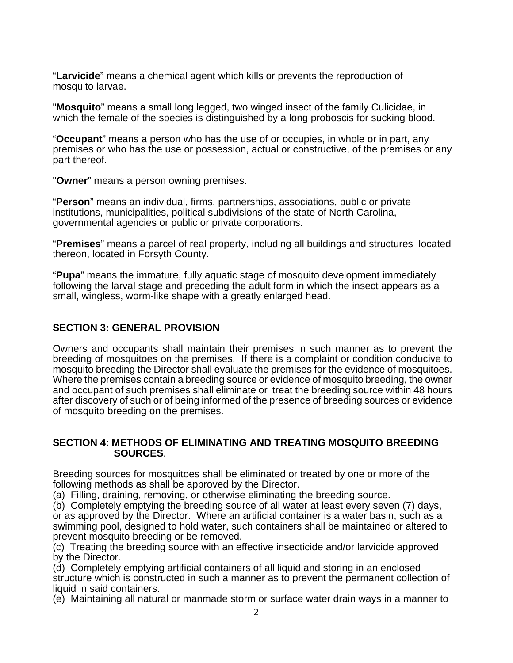"**Larvicide**" means a chemical agent which kills or prevents the reproduction of mosquito larvae.

"**Mosquito**" means a small long legged, two winged insect of the family Culicidae, in which the female of the species is distinguished by a long proboscis for sucking blood.

"**Occupant**" means a person who has the use of or occupies, in whole or in part, any premises or who has the use or possession, actual or constructive, of the premises or any part thereof.

"**Owner**" means a person owning premises.

"**Person**" means an individual, firms, partnerships, associations, public or private institutions, municipalities, political subdivisions of the state of North Carolina, governmental agencies or public or private corporations.

"**Premises**" means a parcel of real property, including all buildings and structures located thereon, located in Forsyth County.

"**Pupa**" means the immature, fully aquatic stage of mosquito development immediately following the larval stage and preceding the adult form in which the insect appears as a small, wingless, worm-like shape with a greatly enlarged head.

# **SECTION 3: GENERAL PROVISION**

Owners and occupants shall maintain their premises in such manner as to prevent the breeding of mosquitoes on the premises. If there is a complaint or condition conducive to mosquito breeding the Director shall evaluate the premises for the evidence of mosquitoes. Where the premises contain a breeding source or evidence of mosquito breeding, the owner and occupant of such premises shall eliminate or treat the breeding source within 48 hours after discovery of such or of being informed of the presence of breeding sources or evidence of mosquito breeding on the premises.

#### **SECTION 4: METHODS OF ELIMINATING AND TREATING MOSQUITO BREEDING SOURCES**.

Breeding sources for mosquitoes shall be eliminated or treated by one or more of the following methods as shall be approved by the Director.

(a) Filling, draining, removing, or otherwise eliminating the breeding source.

(b) Completely emptying the breeding source of all water at least every seven (7) days, or as approved by the Director. Where an artificial container is a water basin, such as a swimming pool, designed to hold water, such containers shall be maintained or altered to prevent mosquito breeding or be removed.

(c) Treating the breeding source with an effective insecticide and/or larvicide approved by the Director.

(d) Completely emptying artificial containers of all liquid and storing in an enclosed structure which is constructed in such a manner as to prevent the permanent collection of liquid in said containers.

(e) Maintaining all natural or manmade storm or surface water drain ways in a manner to